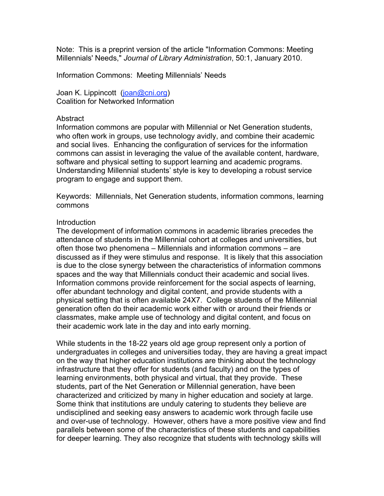Note: This is a preprint version of the article "Information Commons: Meeting Millennials' Needs," *Journal of Library Administration*, 50:1, January 2010.

Information Commons: Meeting Millennials' Needs

Joan K. Lippincott (joan@cni.org) Coalition for Networked Information

#### **Abstract**

Information commons are popular with Millennial or Net Generation students, who often work in groups, use technology avidly, and combine their academic and social lives. Enhancing the configuration of services for the information commons can assist in leveraging the value of the available content, hardware, software and physical setting to support learning and academic programs. Understanding Millennial students' style is key to developing a robust service program to engage and support them.

Keywords: Millennials, Net Generation students, information commons, learning commons

# **Introduction**

The development of information commons in academic libraries precedes the attendance of students in the Millennial cohort at colleges and universities, but often those two phenomena – Millennials and information commons – are discussed as if they were stimulus and response. It is likely that this association is due to the close synergy between the characteristics of information commons spaces and the way that Millennials conduct their academic and social lives. Information commons provide reinforcement for the social aspects of learning, offer abundant technology and digital content, and provide students with a physical setting that is often available 24X7. College students of the Millennial generation often do their academic work either with or around their friends or classmates, make ample use of technology and digital content, and focus on their academic work late in the day and into early morning.

While students in the 18-22 years old age group represent only a portion of undergraduates in colleges and universities today, they are having a great impact on the way that higher education institutions are thinking about the technology infrastructure that they offer for students (and faculty) and on the types of learning environments, both physical and virtual, that they provide. These students, part of the Net Generation or Millennial generation, have been characterized and criticized by many in higher education and society at large. Some think that institutions are unduly catering to students they believe are undisciplined and seeking easy answers to academic work through facile use and over-use of technology. However, others have a more positive view and find parallels between some of the characteristics of these students and capabilities for deeper learning. They also recognize that students with technology skills will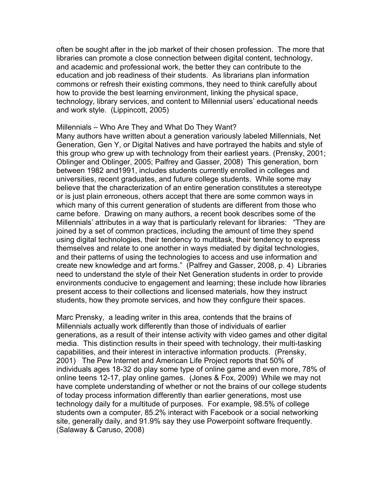often be sought after in the job market of their chosen profession. The more that libraries can promote a close connection between digital content, technology, and academic and professional work, the better they can contribute to the education and job readiness of their students. As librarians plan information commons or refresh their existing commons, they need to think carefully about how to provide the best learning environment, linking the physical space, technology, library services, and content to Millennial users' educational needs and work style. (Lippincott, 2005)

### Millennials – Who Are They and What Do They Want?

Many authors have written about a generation variously labeled Millennials, Net Generation, Gen Y, or Digital Natives and have portrayed the habits and style of this group who grew up with technology from their earliest years. (Prensky, 2001; Oblinger and Oblinger, 2005; Palfrey and Gasser, 2008) This generation, born between 1982 and1991, includes students currently enrolled in colleges and universities, recent graduates, and future college students. While some may believe that the characterization of an entire generation constitutes a stereotype or is just plain erroneous, others accept that there are some common ways in which many of this current generation of students are different from those who came before. Drawing on many authors, a recent book describes some of the Millennials' attributes in a way that is particularly relevant for libraries: "They are joined by a set of common practices, including the amount of time they spend using digital technologies, their tendency to multitask, their tendency to express themselves and relate to one another in ways mediated by digital technologies, and their patterns of using the technologies to access and use information and create new knowledge and art forms." (Palfrey and Gasser, 2008, p. 4) Libraries need to understand the style of their Net Generation students in order to provide environments conducive to engagement and learning; these include how libraries present access to their collections and licensed materials, how they instruct students, how they promote services, and how they configure their spaces.

Marc Prensky, a leading writer in this area, contends that the brains of Millennials actually work differently than those of individuals of earlier generations, as a result of their intense activity with video games and other digital media. This distinction results in their speed with technology, their multi-tasking capabilities, and their interest in interactive information products. (Prensky, 2001) The Pew Internet and American Life Project reports that 50% of individuals ages 18-32 do play some type of online game and even more, 78% of online teens 12-17, play online games. (Jones & Fox, 2009) While we may not have complete understanding of whether or not the brains of our college students of today process information differently than earlier generations, most use technology daily for a multitude of purposes. For example, 98.5% of college students own a computer, 85.2% interact with Facebook or a social networking site, generally daily, and 91.9% say they use Powerpoint software frequently. (Salaway & Caruso, 2008)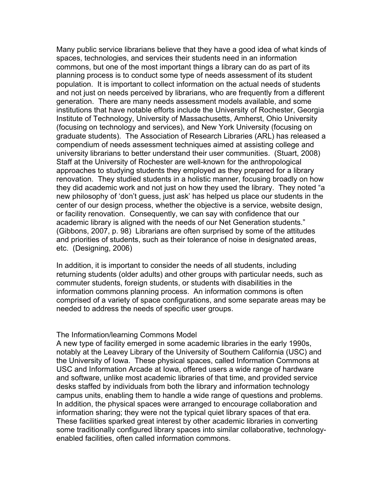Many public service librarians believe that they have a good idea of what kinds of spaces, technologies, and services their students need in an information commons, but one of the most important things a library can do as part of its planning process is to conduct some type of needs assessment of its student population. It is important to collect information on the actual needs of students and not just on needs perceived by librarians, who are frequently from a different generation. There are many needs assessment models available, and some institutions that have notable efforts include the University of Rochester, Georgia Institute of Technology, University of Massachusetts, Amherst, Ohio University (focusing on technology and services), and New York University (focusing on graduate students). The Association of Research Libraries (ARL) has released a compendium of needs assessment techniques aimed at assisting college and university librarians to better understand their user communities. (Stuart, 2008) Staff at the University of Rochester are well-known for the anthropological approaches to studying students they employed as they prepared for a library renovation. They studied students in a holistic manner, focusing broadly on how they did academic work and not just on how they used the library. They noted "a new philosophy of 'don't guess, just ask' has helped us place our students in the center of our design process, whether the objective is a service, website design, or facility renovation. Consequently, we can say with confidence that our academic library is aligned with the needs of our Net Generation students." (Gibbons, 2007, p. 98) Librarians are often surprised by some of the attitudes and priorities of students, such as their tolerance of noise in designated areas, etc. (Designing, 2006)

In addition, it is important to consider the needs of all students, including returning students (older adults) and other groups with particular needs, such as commuter students, foreign students, or students with disabilities in the information commons planning process. An information commons is often comprised of a variety of space configurations, and some separate areas may be needed to address the needs of specific user groups.

# The Information/learning Commons Model

A new type of facility emerged in some academic libraries in the early 1990s, notably at the Leavey Library of the University of Southern California (USC) and the University of Iowa. These physical spaces, called Information Commons at USC and Information Arcade at Iowa, offered users a wide range of hardware and software, unlike most academic libraries of that time, and provided service desks staffed by individuals from both the library and information technology campus units, enabling them to handle a wide range of questions and problems. In addition, the physical spaces were arranged to encourage collaboration and information sharing; they were not the typical quiet library spaces of that era. These facilities sparked great interest by other academic libraries in converting some traditionally configured library spaces into similar collaborative, technologyenabled facilities, often called information commons.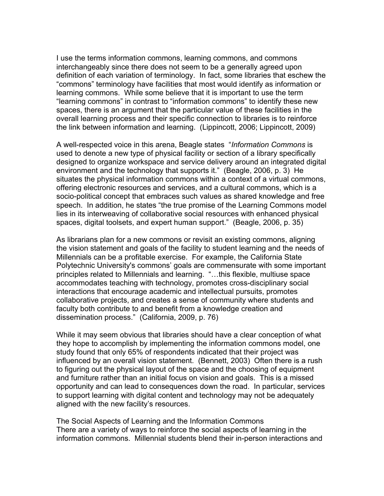I use the terms information commons, learning commons, and commons interchangeably since there does not seem to be a generally agreed upon definition of each variation of terminology. In fact, some libraries that eschew the "commons" terminology have facilities that most would identify as information or learning commons. While some believe that it is important to use the term "learning commons" in contrast to "information commons" to identify these new spaces, there is an argument that the particular value of these facilities in the overall learning process and their specific connection to libraries is to reinforce the link between information and learning. (Lippincott, 2006; Lippincott, 2009)

A well-respected voice in this arena, Beagle states "*Information Commons* is used to denote a new type of physical facility or section of a library specifically designed to organize workspace and service delivery around an integrated digital environment and the technology that supports it." (Beagle, 2006, p. 3) He situates the physical information commons within a context of a virtual commons, offering electronic resources and services, and a cultural commons, which is a socio-political concept that embraces such values as shared knowledge and free speech. In addition, he states "the true promise of the Learning Commons model lies in its interweaving of collaborative social resources with enhanced physical spaces, digital toolsets, and expert human support." (Beagle, 2006, p. 35)

As librarians plan for a new commons or revisit an existing commons, aligning the vision statement and goals of the facility to student learning and the needs of Millennials can be a profitable exercise. For example, the California State Polytechnic University's commons' goals are commensurate with some important principles related to Millennials and learning. "…this flexible, multiuse space accommodates teaching with technology, promotes cross-disciplinary social interactions that encourage academic and intellectual pursuits, promotes collaborative projects, and creates a sense of community where students and faculty both contribute to and benefit from a knowledge creation and dissemination process." (California, 2009, p. 76)

While it may seem obvious that libraries should have a clear conception of what they hope to accomplish by implementing the information commons model, one study found that only 65% of respondents indicated that their project was influenced by an overall vision statement. (Bennett, 2003) Often there is a rush to figuring out the physical layout of the space and the choosing of equipment and furniture rather than an initial focus on vision and goals. This is a missed opportunity and can lead to consequences down the road. In particular, services to support learning with digital content and technology may not be adequately aligned with the new facility's resources.

The Social Aspects of Learning and the Information Commons There are a variety of ways to reinforce the social aspects of learning in the information commons. Millennial students blend their in-person interactions and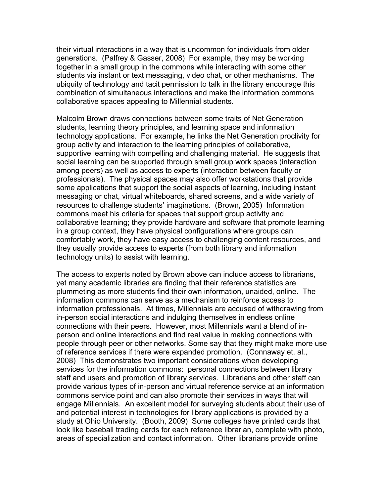their virtual interactions in a way that is uncommon for individuals from older generations. (Palfrey & Gasser, 2008) For example, they may be working together in a small group in the commons while interacting with some other students via instant or text messaging, video chat, or other mechanisms. The ubiquity of technology and tacit permission to talk in the library encourage this combination of simultaneous interactions and make the information commons collaborative spaces appealing to Millennial students.

Malcolm Brown draws connections between some traits of Net Generation students, learning theory principles, and learning space and information technology applications. For example, he links the Net Generation proclivity for group activity and interaction to the learning principles of collaborative, supportive learning with compelling and challenging material. He suggests that social learning can be supported through small group work spaces (interaction among peers) as well as access to experts (interaction between faculty or professionals). The physical spaces may also offer workstations that provide some applications that support the social aspects of learning, including instant messaging or chat, virtual whiteboards, shared screens, and a wide variety of resources to challenge students' imaginations. (Brown, 2005) Information commons meet his criteria for spaces that support group activity and collaborative learning; they provide hardware and software that promote learning in a group context, they have physical configurations where groups can comfortably work, they have easy access to challenging content resources, and they usually provide access to experts (from both library and information technology units) to assist with learning.

The access to experts noted by Brown above can include access to librarians, yet many academic libraries are finding that their reference statistics are plummeting as more students find their own information, unaided, online. The information commons can serve as a mechanism to reinforce access to information professionals. At times, Millennials are accused of withdrawing from in-person social interactions and indulging themselves in endless online connections with their peers. However, most Millennials want a blend of inperson and online interactions and find real value in making connections with people through peer or other networks. Some say that they might make more use of reference services if there were expanded promotion. (Connaway et. al., 2008) This demonstrates two important considerations when developing services for the information commons: personal connections between library staff and users and promotion of library services. Librarians and other staff can provide various types of in-person and virtual reference service at an information commons service point and can also promote their services in ways that will engage Millennials. An excellent model for surveying students about their use of and potential interest in technologies for library applications is provided by a study at Ohio University. (Booth, 2009) Some colleges have printed cards that look like baseball trading cards for each reference librarian, complete with photo, areas of specialization and contact information. Other librarians provide online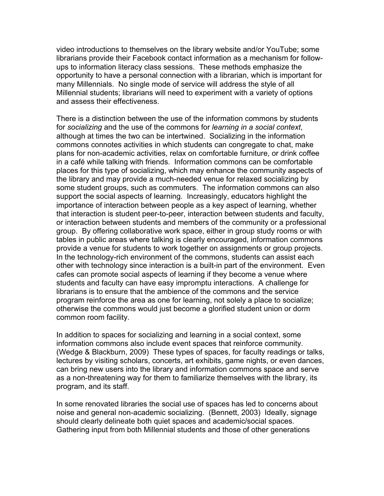video introductions to themselves on the library website and/or YouTube; some librarians provide their Facebook contact information as a mechanism for followups to information literacy class sessions. These methods emphasize the opportunity to have a personal connection with a librarian, which is important for many Millennials. No single mode of service will address the style of all Millennial students; librarians will need to experiment with a variety of options and assess their effectiveness.

There is a distinction between the use of the information commons by students for *socializing* and the use of the commons for *learning in a social context*, although at times the two can be intertwined. Socializing in the information commons connotes activities in which students can congregate to chat, make plans for non-academic activities, relax on comfortable furniture, or drink coffee in a café while talking with friends. Information commons can be comfortable places for this type of socializing, which may enhance the community aspects of the library and may provide a much-needed venue for relaxed socializing by some student groups, such as commuters. The information commons can also support the social aspects of learning. Increasingly, educators highlight the importance of interaction between people as a key aspect of learning, whether that interaction is student peer-to-peer, interaction between students and faculty, or interaction between students and members of the community or a professional group. By offering collaborative work space, either in group study rooms or with tables in public areas where talking is clearly encouraged, information commons provide a venue for students to work together on assignments or group projects. In the technology-rich environment of the commons, students can assist each other with technology since interaction is a built-in part of the environment. Even cafes can promote social aspects of learning if they become a venue where students and faculty can have easy impromptu interactions. A challenge for librarians is to ensure that the ambience of the commons and the service program reinforce the area as one for learning, not solely a place to socialize; otherwise the commons would just become a glorified student union or dorm common room facility.

In addition to spaces for socializing and learning in a social context, some information commons also include event spaces that reinforce community. (Wedge & Blackburn, 2009) These types of spaces, for faculty readings or talks, lectures by visiting scholars, concerts, art exhibits, game nights, or even dances, can bring new users into the library and information commons space and serve as a non-threatening way for them to familiarize themselves with the library, its program, and its staff.

In some renovated libraries the social use of spaces has led to concerns about noise and general non-academic socializing. (Bennett, 2003) Ideally, signage should clearly delineate both quiet spaces and academic/social spaces. Gathering input from both Millennial students and those of other generations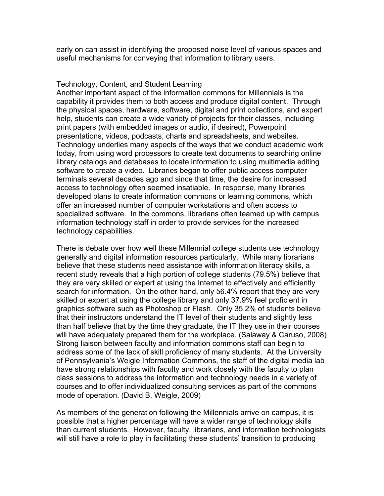early on can assist in identifying the proposed noise level of various spaces and useful mechanisms for conveying that information to library users.

### Technology, Content, and Student Learning

Another important aspect of the information commons for Millennials is the capability it provides them to both access and produce digital content. Through the physical spaces, hardware, software, digital and print collections, and expert help, students can create a wide variety of projects for their classes, including print papers (with embedded images or audio, if desired), Powerpoint presentations, videos, podcasts, charts and spreadsheets, and websites. Technology underlies many aspects of the ways that we conduct academic work today, from using word processors to create text documents to searching online library catalogs and databases to locate information to using multimedia editing software to create a video. Libraries began to offer public access computer terminals several decades ago and since that time, the desire for increased access to technology often seemed insatiable. In response, many libraries developed plans to create information commons or learning commons, which offer an increased number of computer workstations and often access to specialized software. In the commons, librarians often teamed up with campus information technology staff in order to provide services for the increased technology capabilities.

There is debate over how well these Millennial college students use technology generally and digital information resources particularly. While many librarians believe that these students need assistance with information literacy skills, a recent study reveals that a high portion of college students (79.5%) believe that they are very skilled or expert at using the Internet to effectively and efficiently search for information. On the other hand, only 56.4% report that they are very skilled or expert at using the college library and only 37.9% feel proficient in graphics software such as Photoshop or Flash. Only 35.2% of students believe that their instructors understand the IT level of their students and slightly less than half believe that by the time they graduate, the IT they use in their courses will have adequately prepared them for the workplace. (Salaway & Caruso, 2008) Strong liaison between faculty and information commons staff can begin to address some of the lack of skill proficiency of many students. At the University of Pennsylvania's Weigle Information Commons, the staff of the digital media lab have strong relationships with faculty and work closely with the faculty to plan class sessions to address the information and technology needs in a variety of courses and to offer individualized consulting services as part of the commons mode of operation. (David B. Weigle, 2009)

As members of the generation following the Millennials arrive on campus, it is possible that a higher percentage will have a wider range of technology skills than current students. However, faculty, librarians, and information technologists will still have a role to play in facilitating these students' transition to producing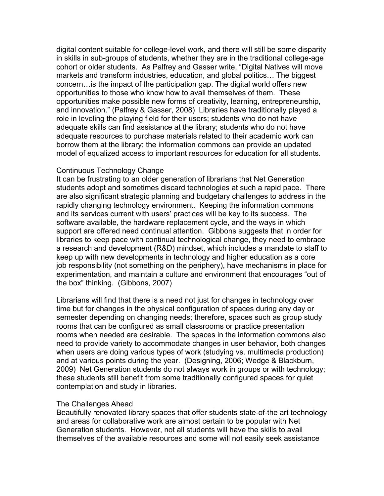digital content suitable for college-level work, and there will still be some disparity in skills in sub-groups of students, whether they are in the traditional college-age cohort or older students. As Palfrey and Gasser write, "Digital Natives will move markets and transform industries, education, and global politics… The biggest concern…is the impact of the participation gap. The digital world offers new opportunities to those who know how to avail themselves of them. These opportunities make possible new forms of creativity, learning, entrepreneurship, and innovation." (Palfrey & Gasser, 2008) Libraries have traditionally played a role in leveling the playing field for their users; students who do not have adequate skills can find assistance at the library; students who do not have adequate resources to purchase materials related to their academic work can borrow them at the library; the information commons can provide an updated model of equalized access to important resources for education for all students.

# Continuous Technology Change

It can be frustrating to an older generation of librarians that Net Generation students adopt and sometimes discard technologies at such a rapid pace. There are also significant strategic planning and budgetary challenges to address in the rapidly changing technology environment. Keeping the information commons and its services current with users' practices will be key to its success. The software available, the hardware replacement cycle, and the ways in which support are offered need continual attention. Gibbons suggests that in order for libraries to keep pace with continual technological change, they need to embrace a research and development (R&D) mindset, which includes a mandate to staff to keep up with new developments in technology and higher education as a core job responsibility (not something on the periphery), have mechanisms in place for experimentation, and maintain a culture and environment that encourages "out of the box" thinking. (Gibbons, 2007)

Librarians will find that there is a need not just for changes in technology over time but for changes in the physical configuration of spaces during any day or semester depending on changing needs; therefore, spaces such as group study rooms that can be configured as small classrooms or practice presentation rooms when needed are desirable. The spaces in the information commons also need to provide variety to accommodate changes in user behavior, both changes when users are doing various types of work (studying vs. multimedia production) and at various points during the year. (Designing, 2006; Wedge & Blackburn, 2009) Net Generation students do not always work in groups or with technology; these students still benefit from some traditionally configured spaces for quiet contemplation and study in libraries.

# The Challenges Ahead

Beautifully renovated library spaces that offer students state-of-the art technology and areas for collaborative work are almost certain to be popular with Net Generation students. However, not all students will have the skills to avail themselves of the available resources and some will not easily seek assistance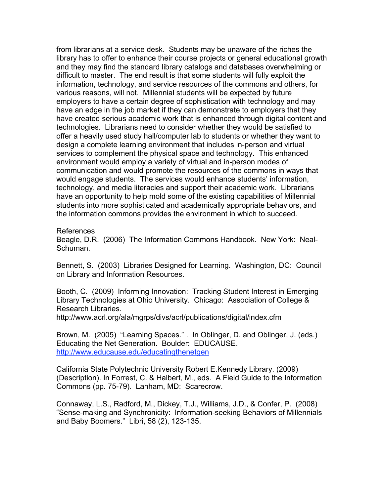from librarians at a service desk. Students may be unaware of the riches the library has to offer to enhance their course projects or general educational growth and they may find the standard library catalogs and databases overwhelming or difficult to master. The end result is that some students will fully exploit the information, technology, and service resources of the commons and others, for various reasons, will not. Millennial students will be expected by future employers to have a certain degree of sophistication with technology and may have an edge in the job market if they can demonstrate to employers that they have created serious academic work that is enhanced through digital content and technologies. Librarians need to consider whether they would be satisfied to offer a heavily used study hall/computer lab to students or whether they want to design a complete learning environment that includes in-person and virtual services to complement the physical space and technology. This enhanced environment would employ a variety of virtual and in-person modes of communication and would promote the resources of the commons in ways that would engage students. The services would enhance students' information, technology, and media literacies and support their academic work. Librarians have an opportunity to help mold some of the existing capabilities of Millennial students into more sophisticated and academically appropriate behaviors, and the information commons provides the environment in which to succeed.

### References

Beagle, D.R. (2006) The Information Commons Handbook. New York: Neal-Schuman.

Bennett, S. (2003) Libraries Designed for Learning. Washington, DC: Council on Library and Information Resources.

Booth, C. (2009) Informing Innovation: Tracking Student Interest in Emerging Library Technologies at Ohio University. Chicago: Association of College & Research Libraries.

http://www.acrl.org/ala/mgrps/divs/acrl/publications/digital/index.cfm

Brown, M. (2005) "Learning Spaces." . In Oblinger, D. and Oblinger, J. (eds.) Educating the Net Generation. Boulder: EDUCAUSE. http://www.educause.edu/educatingthenetgen

California State Polytechnic University Robert E.Kennedy Library. (2009) (Description). In Forrest, C. & Halbert, M., eds. A Field Guide to the Information Commons (pp. 75-79). Lanham, MD: Scarecrow.

Connaway, L.S., Radford, M., Dickey, T.J., Williams, J.D., & Confer, P. (2008) "Sense-making and Synchronicity: Information-seeking Behaviors of Millennials and Baby Boomers." Libri, 58 (2), 123-135.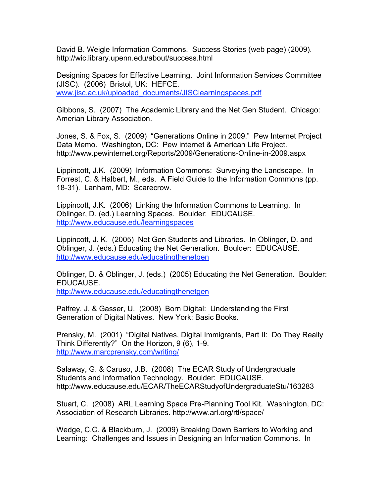David B. Weigle Information Commons. Success Stories (web page) (2009). http://wic.library.upenn.edu/about/success.html

Designing Spaces for Effective Learning. Joint Information Services Committee (JISC). (2006) Bristol, UK: HEFCE. www.jisc.ac.uk/uploaded\_documents/JISClearningspaces.pdf

Gibbons, S. (2007) The Academic Library and the Net Gen Student. Chicago: Amerian Library Association.

Jones, S. & Fox, S. (2009) "Generations Online in 2009." Pew Internet Project Data Memo. Washington, DC: Pew internet & American Life Project. http://www.pewinternet.org/Reports/2009/Generations-Online-in-2009.aspx

Lippincott, J.K. (2009) Information Commons: Surveying the Landscape. In Forrest, C. & Halbert, M., eds. A Field Guide to the Information Commons (pp. 18-31). Lanham, MD: Scarecrow.

Lippincott, J.K. (2006) Linking the Information Commons to Learning. In Oblinger, D. (ed.) Learning Spaces. Boulder: EDUCAUSE. http://www.educause.edu/learningspaces

Lippincott, J. K. (2005) Net Gen Students and Libraries. In Oblinger, D. and Oblinger, J. (eds.) Educating the Net Generation. Boulder: EDUCAUSE. http://www.educause.edu/educatingthenetgen

Oblinger, D. & Oblinger, J. (eds.) (2005) Educating the Net Generation. Boulder: EDUCAUSE.

http://www.educause.edu/educatingthenetgen

Palfrey, J. & Gasser, U. (2008) Born Digital: Understanding the First Generation of Digital Natives. New York: Basic Books.

Prensky, M. (2001) "Digital Natives, Digital Immigrants, Part II: Do They Really Think Differently?" On the Horizon, 9 (6), 1-9. http://www.marcprensky.com/writing/

Salaway, G. & Caruso, J.B. (2008) The ECAR Study of Undergraduate Students and Information Technology. Boulder: EDUCAUSE. http://www.educause.edu/ECAR/TheECARStudyofUndergraduateStu/163283

Stuart, C. (2008) ARL Learning Space Pre-Planning Tool Kit. Washington, DC: Association of Research Libraries. http://www.arl.org/rtl/space/

Wedge, C.C. & Blackburn, J. (2009) Breaking Down Barriers to Working and Learning: Challenges and Issues in Designing an Information Commons. In